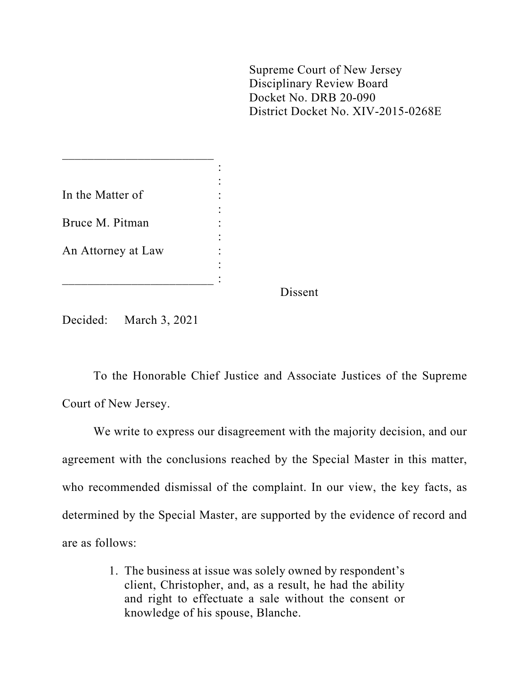Supreme Court of New Jersey Disciplinary Review Board Docket No. DRB 20-090 District Docket No. XIV-2015-0268E

|                    | Dissent |
|--------------------|---------|
|                    |         |
|                    |         |
| An Attorney at Law |         |
|                    |         |
| Bruce M. Pitman    |         |
|                    |         |
| In the Matter of   |         |
|                    |         |
|                    |         |

Decided: March 3, 2021

 $\overline{\phantom{a}}$  , which is a set of the set of the set of the set of the set of the set of the set of the set of the set of the set of the set of the set of the set of the set of the set of the set of the set of the set of th

To the Honorable Chief Justice and Associate Justices of the Supreme Court of New Jersey.

We write to express our disagreement with the majority decision, and our agreement with the conclusions reached by the Special Master in this matter, who recommended dismissal of the complaint. In our view, the key facts, as determined by the Special Master, are supported by the evidence of record and are as follows:

> 1. The business at issue was solely owned by respondent's client, Christopher, and, as a result, he had the ability and right to effectuate a sale without the consent or knowledge of his spouse, Blanche.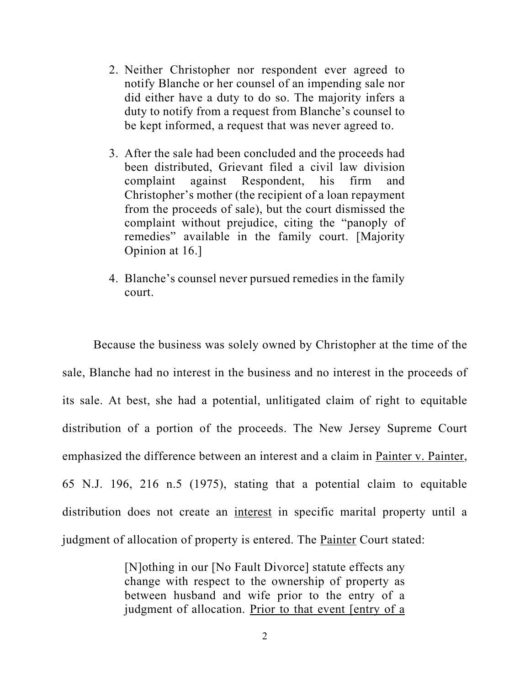- 2. Neither Christopher nor respondent ever agreed to notify Blanche or her counsel of an impending sale nor did either have a duty to do so. The majority infers a duty to notify from a request from Blanche's counsel to be kept informed, a request that was never agreed to.
- 3. After the sale had been concluded and the proceeds had been distributed, Grievant filed a civil law division complaint against Respondent, his firm and Christopher's mother (the recipient of a loan repayment from the proceeds of sale), but the court dismissed the complaint without prejudice, citing the "panoply of remedies" available in the family court. [Majority Opinion at 16.]
- 4. Blanche's counsel never pursued remedies in the family court.

Because the business was solely owned by Christopher at the time of the sale, Blanche had no interest in the business and no interest in the proceeds of its sale. At best, she had a potential, unlitigated claim of right to equitable distribution of a portion of the proceeds. The New Jersey Supreme Court emphasized the difference between an interest and a claim in Painter v. Painter, 65 N.J. 196, 216 n.5 (1975), stating that a potential claim to equitable distribution does not create an interest in specific marital property until a judgment of allocation of property is entered. The Painter Court stated:

> [N]othing in our [No Fault Divorce] statute effects any change with respect to the ownership of property as between husband and wife prior to the entry of a judgment of allocation. Prior to that event [entry of a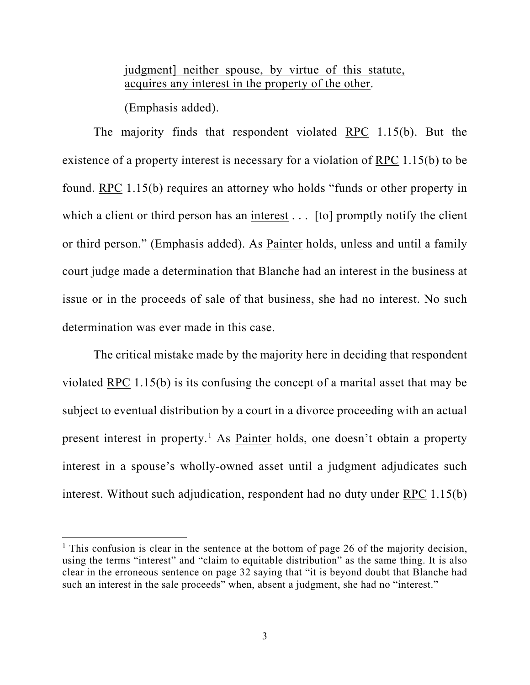judgment] neither spouse, by virtue of this statute, acquires any interest in the property of the other.

(Emphasis added).

The majority finds that respondent violated RPC 1.15(b). But the existence of a property interest is necessary for a violation of RPC 1.15(b) to be found. RPC 1.15(b) requires an attorney who holds "funds or other property in which a client or third person has an interest  $\ldots$  [to] promptly notify the client or third person." (Emphasis added). As Painter holds, unless and until a family court judge made a determination that Blanche had an interest in the business at issue or in the proceeds of sale of that business, she had no interest. No such determination was ever made in this case.

The critical mistake made by the majority here in deciding that respondent violated RPC 1.15(b) is its confusing the concept of a marital asset that may be subject to eventual distribution by a court in a divorce proceeding with an actual present interest in property.<sup>[1](#page-2-0)</sup> As Painter holds, one doesn't obtain a property interest in a spouse's wholly-owned asset until a judgment adjudicates such interest. Without such adjudication, respondent had no duty under RPC 1.15(b)

<span id="page-2-0"></span><sup>&</sup>lt;sup>1</sup> This confusion is clear in the sentence at the bottom of page 26 of the majority decision, using the terms "interest" and "claim to equitable distribution" as the same thing. It is also clear in the erroneous sentence on page 32 saying that "it is beyond doubt that Blanche had such an interest in the sale proceeds" when, absent a judgment, she had no "interest."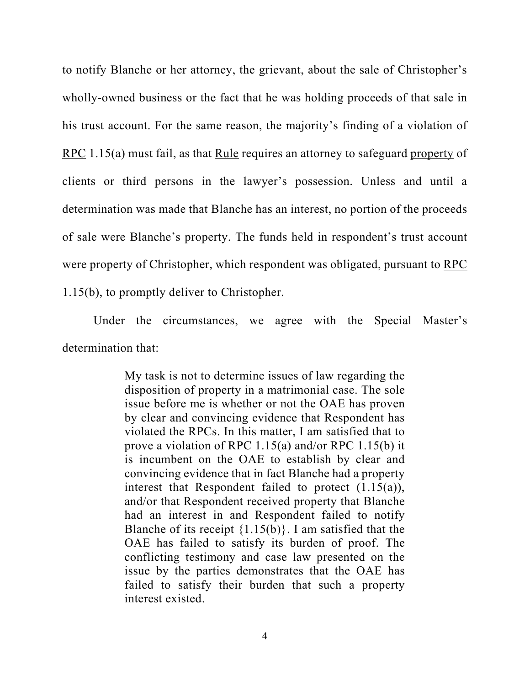to notify Blanche or her attorney, the grievant, about the sale of Christopher's wholly-owned business or the fact that he was holding proceeds of that sale in his trust account. For the same reason, the majority's finding of a violation of RPC 1.15(a) must fail, as that Rule requires an attorney to safeguard property of clients or third persons in the lawyer's possession. Unless and until a determination was made that Blanche has an interest, no portion of the proceeds of sale were Blanche's property. The funds held in respondent's trust account were property of Christopher, which respondent was obligated, pursuant to RPC 1.15(b), to promptly deliver to Christopher.

Under the circumstances, we agree with the Special Master's determination that:

> My task is not to determine issues of law regarding the disposition of property in a matrimonial case. The sole issue before me is whether or not the OAE has proven by clear and convincing evidence that Respondent has violated the RPCs. In this matter, I am satisfied that to prove a violation of RPC 1.15(a) and/or RPC 1.15(b) it is incumbent on the OAE to establish by clear and convincing evidence that in fact Blanche had a property interest that Respondent failed to protect  $(1.15(a))$ , and/or that Respondent received property that Blanche had an interest in and Respondent failed to notify Blanche of its receipt  $\{1.15(b)\}\$ . I am satisfied that the OAE has failed to satisfy its burden of proof. The conflicting testimony and case law presented on the issue by the parties demonstrates that the OAE has failed to satisfy their burden that such a property interest existed.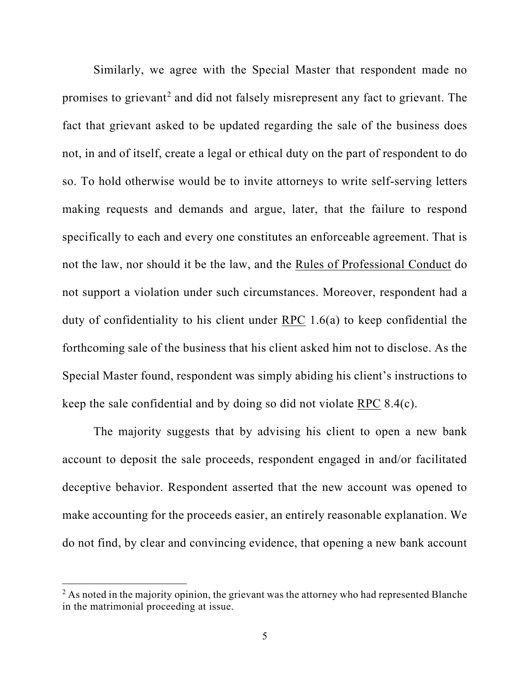Similarly, we agree with the Special Master that respondent made no promises to grievant<sup>[2](#page-4-0)</sup> and did not falsely misrepresent any fact to grievant. The fact that grievant asked to be updated regarding the sale of the business does not, in and of itself, create a legal or ethical duty on the part of respondent to do so. To hold otherwise would be to invite attorneys to write self-serving letters making requests and demands and argue, later, that the failure to respond specifically to each and every one constitutes an enforceable agreement. That is not the law, nor should it be the law, and the Rules of Professional Conduct do not support a violation under such circumstances. Moreover, respondent had a duty of confidentiality to his client under RPC 1.6(a) to keep confidential the forthcoming sale of the business that his client asked him not to disclose. As the Special Master found, respondent was simply abiding his client's instructions to keep the sale confidential and by doing so did not violate RPC 8.4(c).

The majority suggests that by advising his client to open a new bank account to deposit the sale proceeds, respondent engaged in and/or facilitated deceptive behavior. Respondent asserted that the new account was opened to make accounting for the proceeds easier, an entirely reasonable explanation. We do not find, by clear and convincing evidence, that opening a new bank account

<span id="page-4-0"></span> $2$  As noted in the majority opinion, the grievant was the attorney who had represented Blanche in the matrimonial proceeding at issue.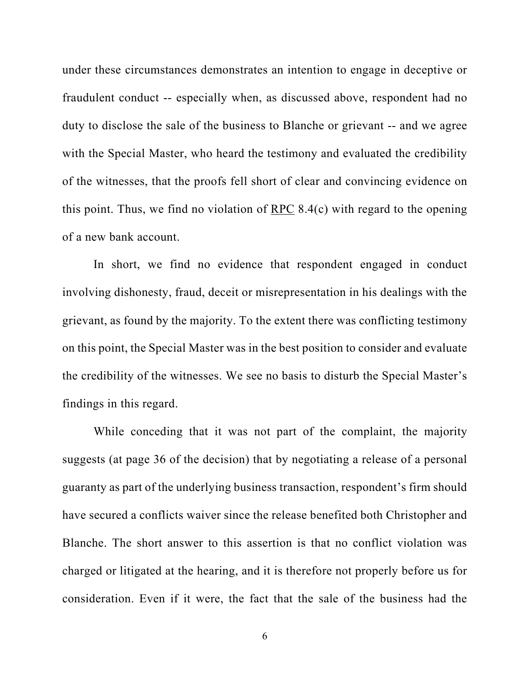under these circumstances demonstrates an intention to engage in deceptive or fraudulent conduct -- especially when, as discussed above, respondent had no duty to disclose the sale of the business to Blanche or grievant -- and we agree with the Special Master, who heard the testimony and evaluated the credibility of the witnesses, that the proofs fell short of clear and convincing evidence on this point. Thus, we find no violation of RPC 8.4(c) with regard to the opening of a new bank account.

In short, we find no evidence that respondent engaged in conduct involving dishonesty, fraud, deceit or misrepresentation in his dealings with the grievant, as found by the majority. To the extent there was conflicting testimony on this point, the Special Master was in the best position to consider and evaluate the credibility of the witnesses. We see no basis to disturb the Special Master's findings in this regard.

While conceding that it was not part of the complaint, the majority suggests (at page 36 of the decision) that by negotiating a release of a personal guaranty as part of the underlying business transaction, respondent's firm should have secured a conflicts waiver since the release benefited both Christopher and Blanche. The short answer to this assertion is that no conflict violation was charged or litigated at the hearing, and it is therefore not properly before us for consideration. Even if it were, the fact that the sale of the business had the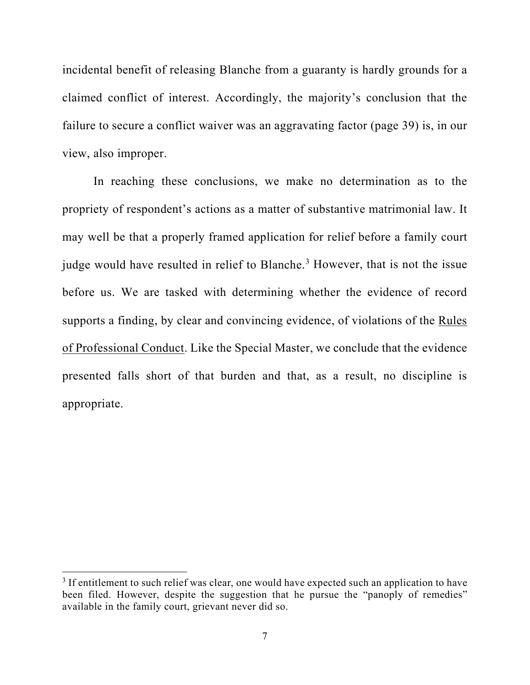incidental benefit of releasing Blanche from a guaranty is hardly grounds for a claimed conflict of interest. Accordingly, the majority's conclusion that the failure to secure a conflict waiver was an aggravating factor (page 39) is, in our view, also improper.

In reaching these conclusions, we make no determination as to the propriety of respondent's actions as a matter of substantive matrimonial law. It may well be that a properly framed application for relief before a family court judge would have resulted in relief to Blanche.<sup>[3](#page-6-0)</sup> However, that is not the issue before us. We are tasked with determining whether the evidence of record supports a finding, by clear and convincing evidence, of violations of the Rules of Professional Conduct. Like the Special Master, we conclude that the evidence presented falls short of that burden and that, as a result, no discipline is appropriate.

<span id="page-6-0"></span> $3$  If entitlement to such relief was clear, one would have expected such an application to have been filed. However, despite the suggestion that he pursue the "panoply of remedies" available in the family court, grievant never did so.